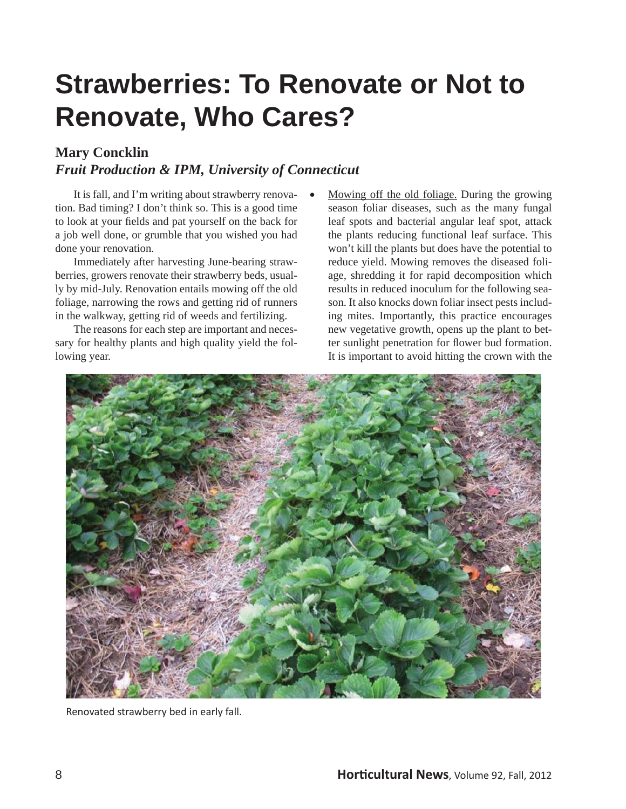## **Strawberries: To Renovate or Not to Renovate, Who Cares?**

#### **Mary Concklin**

#### *Fruit Production & IPM, University of Connecticut*

 It is fall, and I'm writing about strawberry renovation. Bad timing? I don't think so. This is a good time to look at your fields and pat yourself on the back for a job well done, or grumble that you wished you had done your renovation.

 Immediately after harvesting June-bearing strawberries, growers renovate their strawberry beds, usually by mid-July. Renovation entails mowing off the old foliage, narrowing the rows and getting rid of runners in the walkway, getting rid of weeds and fertilizing.

 The reasons for each step are important and necessary for healthy plants and high quality yield the following year.

 Mowing off the old foliage. During the growing season foliar diseases, such as the many fungal leaf spots and bacterial angular leaf spot, attack the plants reducing functional leaf surface. This won't kill the plants but does have the potential to reduce yield. Mowing removes the diseased foliage, shredding it for rapid decomposition which results in reduced inoculum for the following season. It also knocks down foliar insect pests including mites. Importantly, this practice encourages new vegetative growth, opens up the plant to better sunlight penetration for flower bud formation. It is important to avoid hitting the crown with the



Renovated strawberry bed in early fall.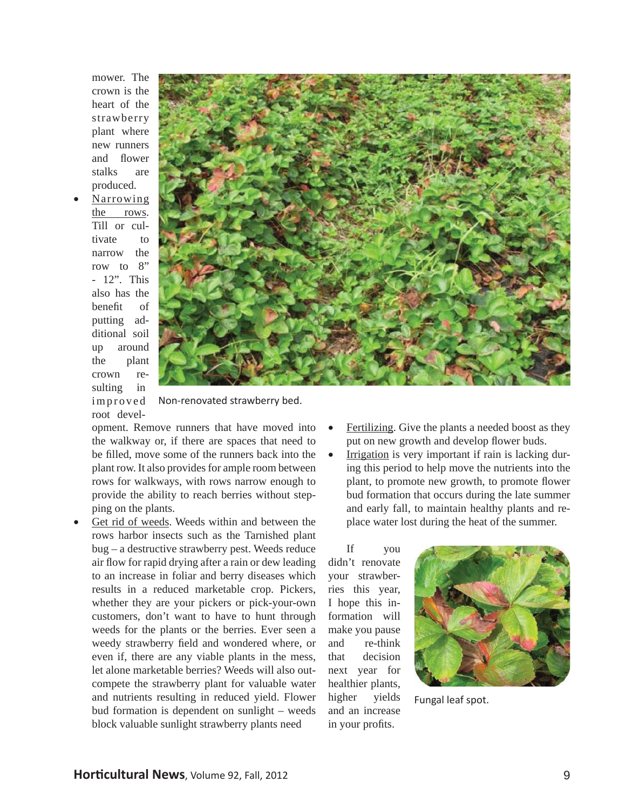mower. The crown is the heart of the strawberry plant where new runners and flower stalks are produced.

 Narrowing the rows. Till or cultivate to narrow the row to 8" - 12". This also has the benefit of putting additional soil up around the plant crown resulting in i m p r o v e d



Non-renovated strawberry bed. root devel-

opment. Remove runners that have moved into the walkway or, if there are spaces that need to be filled, move some of the runners back into the plant row. It also provides for ample room between rows for walkways, with rows narrow enough to provide the ability to reach berries without stepping on the plants.

- Get rid of weeds. Weeds within and between the rows harbor insects such as the Tarnished plant bug – a destructive strawberry pest. Weeds reduce air flow for rapid drying after a rain or dew leading to an increase in foliar and berry diseases which results in a reduced marketable crop. Pickers, whether they are your pickers or pick-your-own customers, don't want to have to hunt through weeds for the plants or the berries. Ever seen a weedy strawberry field and wondered where, or even if, there are any viable plants in the mess, let alone marketable berries? Weeds will also outcompete the strawberry plant for valuable water and nutrients resulting in reduced yield. Flower bud formation is dependent on sunlight – weeds block valuable sunlight strawberry plants need
- Fertilizing. Give the plants a needed boost as they put on new growth and develop flower buds.
- Irrigation is very important if rain is lacking during this period to help move the nutrients into the plant, to promote new growth, to promote flower bud formation that occurs during the late summer and early fall, to maintain healthy plants and replace water lost during the heat of the summer.

 If you didn't renovate your strawberries this year, I hope this information will make you pause and re-think that decision next year for healthier plants, higher yields and an increase in your profits.



Fungal leaf spot.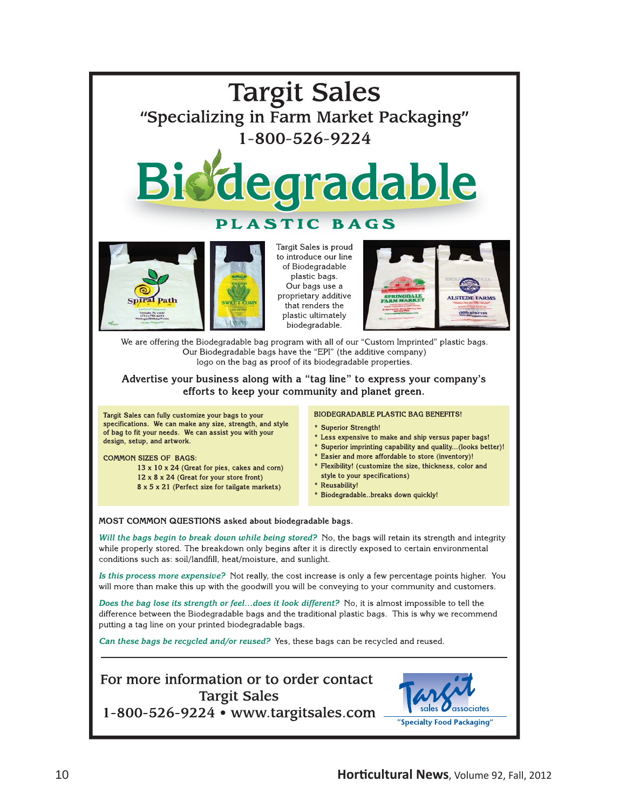